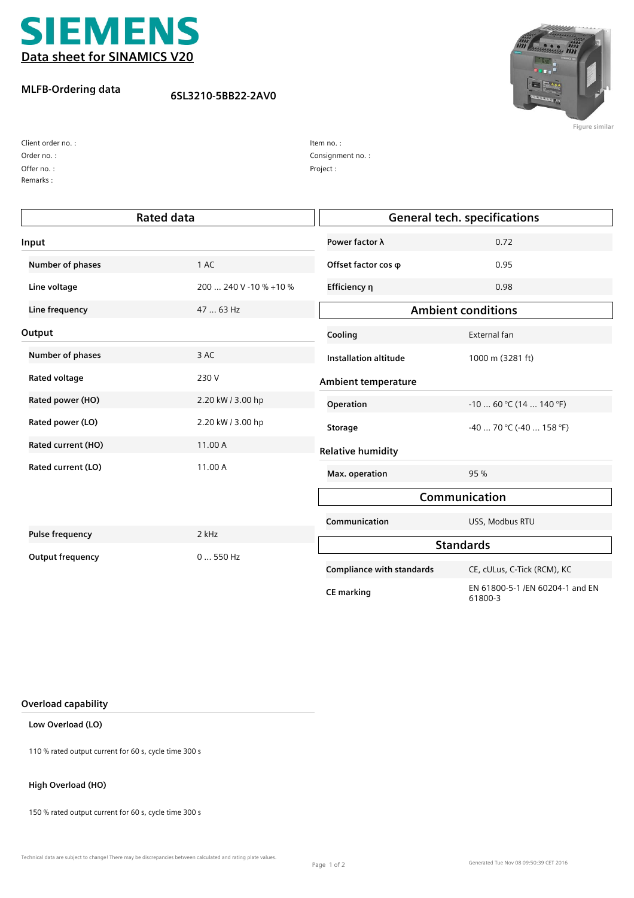

## **MLFB-Ordering data**

**6SL3210-5BB22-2AV0**



**Figure similar**

| Client order no. : |
|--------------------|
| Order no.:         |
| Offer no.:         |
| Remarks:           |

| Item no.:        |  |
|------------------|--|
| Consignment no.: |  |
| Project:         |  |

| <b>Rated data</b>       |                        | <b>General tech. specifications</b> |                                            |  |
|-------------------------|------------------------|-------------------------------------|--------------------------------------------|--|
| Input                   |                        | Power factor λ                      | 0.72                                       |  |
| Number of phases        | 1 AC                   | Offset factor cos $\varphi$         | 0.95                                       |  |
| Line voltage            | 200  240 V -10 % +10 % | Efficiency η                        | 0.98                                       |  |
| Line frequency          | 47  63 Hz              | <b>Ambient conditions</b>           |                                            |  |
| Output                  |                        | Cooling                             | External fan                               |  |
| Number of phases        | 3 AC                   | <b>Installation altitude</b>        | 1000 m (3281 ft)                           |  |
| <b>Rated voltage</b>    | 230 V                  | Ambient temperature                 |                                            |  |
| Rated power (HO)        | 2.20 kW / 3.00 hp      | Operation                           | $-1060$ °C (14  140 °F)                    |  |
| Rated power (LO)        | 2.20 kW / 3.00 hp      | <b>Storage</b>                      | $-40$ 70 °C (-40  158 °F)                  |  |
| Rated current (HO)      | 11.00 A                | <b>Relative humidity</b>            |                                            |  |
| Rated current (LO)      | 11.00 A                | Max. operation                      | 95 %                                       |  |
|                         |                        | Communication                       |                                            |  |
|                         |                        | Communication                       | USS, Modbus RTU                            |  |
| <b>Pulse frequency</b>  | 2 kHz                  |                                     | <b>Standards</b>                           |  |
| <b>Output frequency</b> | $0550$ Hz              | <b>Compliance with standards</b>    | CE, cULus, C-Tick (RCM), KC                |  |
|                         |                        | <b>CE marking</b>                   | EN 61800-5-1 /EN 60204-1 and EN<br>61800-3 |  |

### **Overload capability**

## **Low Overload (LO)**

110 % rated output current for 60 s, cycle time 300 s

### **High Overload (HO)**

150 % rated output current for 60 s, cycle time 300 s